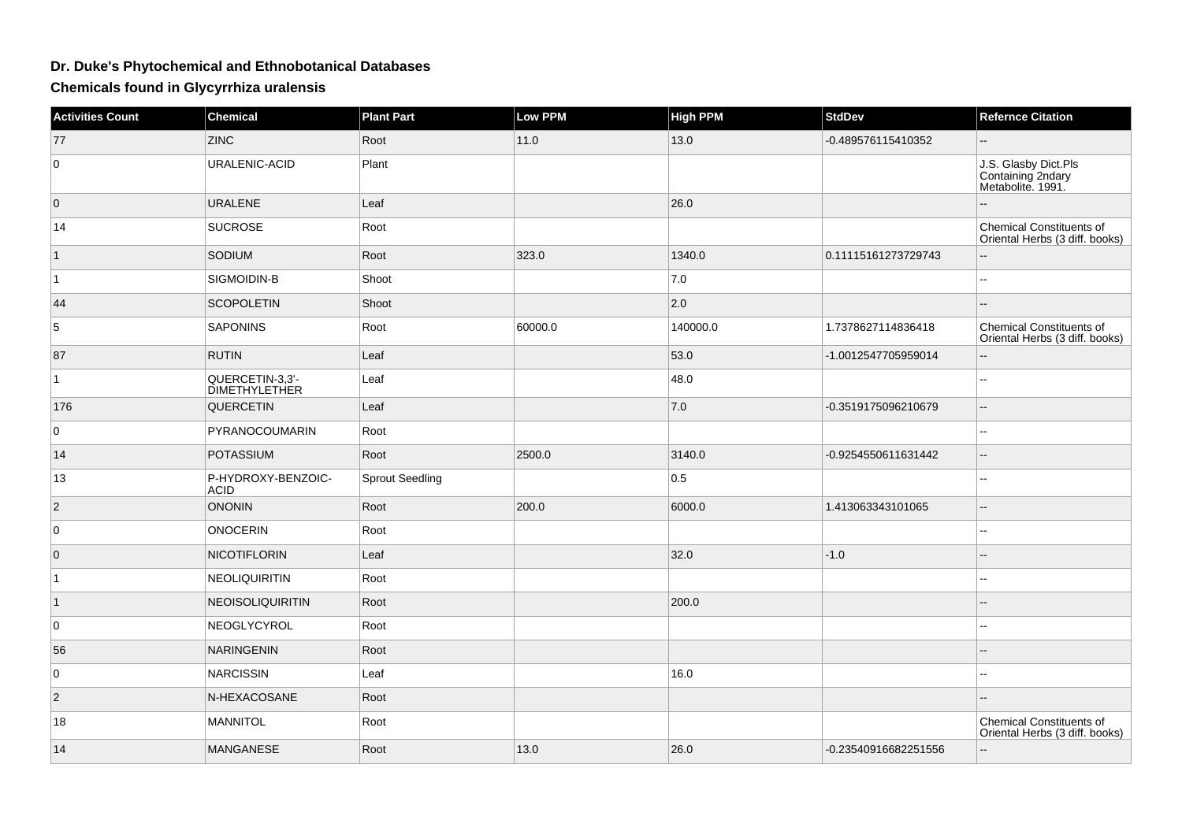## **Dr. Duke's Phytochemical and Ethnobotanical Databases**

**Chemicals found in Glycyrrhiza uralensis**

| <b>Activities Count</b> | <b>Chemical</b>                  | <b>Plant Part</b> | <b>Low PPM</b> | <b>High PPM</b> | <b>StdDev</b>        | <b>Refernce Citation</b>                                          |
|-------------------------|----------------------------------|-------------------|----------------|-----------------|----------------------|-------------------------------------------------------------------|
| 77                      | <b>ZINC</b>                      | Root              | 11.0           | 13.0            | -0.489576115410352   |                                                                   |
| $\mathbf 0$             | URALENIC-ACID                    | Plant             |                |                 |                      | J.S. Glasby Dict.Pls<br>Containing 2ndary<br>Metabolite. 1991.    |
| $\overline{0}$          | <b>URALENE</b>                   | Leaf              |                | 26.0            |                      |                                                                   |
| 14                      | <b>SUCROSE</b>                   | Root              |                |                 |                      | <b>Chemical Constituents of</b><br>Oriental Herbs (3 diff. books) |
| $\overline{1}$          | <b>SODIUM</b>                    | Root              | 323.0          | 1340.0          | 0.11115161273729743  |                                                                   |
| $\mathbf{1}$            | SIGMOIDIN-B                      | Shoot             |                | 7.0             |                      | $\sim$                                                            |
| 44                      | <b>SCOPOLETIN</b>                | Shoot             |                | 2.0             |                      | $-$                                                               |
| 5                       | <b>SAPONINS</b>                  | Root              | 60000.0        | 140000.0        | 1.7378627114836418   | Chemical Constituents of<br>Oriental Herbs (3 diff. books)        |
| 87                      | <b>RUTIN</b>                     | Leaf              |                | 53.0            | -1.0012547705959014  | Ξ.                                                                |
| $\overline{1}$          | QUERCETIN-3,3'-<br>DIMETHYLETHER | Leaf              |                | 48.0            |                      | 44                                                                |
| 176                     | QUERCETIN                        | Leaf              |                | 7.0             | -0.3519175096210679  | $\mathbf{u}$                                                      |
| $\overline{0}$          | PYRANOCOUMARIN                   | Root              |                |                 |                      | --                                                                |
| 14                      | <b>POTASSIUM</b>                 | Root              | 2500.0         | 3140.0          | -0.9254550611631442  | $\sim$ $\sim$                                                     |
| 13                      | P-HYDROXY-BENZOIC-<br>ACID       | Sprout Seedling   |                | 0.5             |                      | $-1$                                                              |
| $\overline{2}$          | <b>ONONIN</b>                    | Root              | 200.0          | 6000.0          | 1.413063343101065    | $\overline{\phantom{a}}$                                          |
| $\overline{0}$          | <b>ONOCERIN</b>                  | Root              |                |                 |                      | 44                                                                |
| $\overline{0}$          | NICOTIFLORIN                     | Leaf              |                | 32.0            | $-1.0$               |                                                                   |
| $\mathbf{1}$            | NEOLIQUIRITIN                    | Root              |                |                 |                      | $-$                                                               |
| $\mathbf{1}$            | <b>NEOISOLIQUIRITIN</b>          | Root              |                | 200.0           |                      |                                                                   |
| $\overline{0}$          | NEOGLYCYROL                      | Root              |                |                 |                      | --                                                                |
| 56                      | <b>NARINGENIN</b>                | Root              |                |                 |                      |                                                                   |
| $\overline{0}$          | <b>NARCISSIN</b>                 | Leaf              |                | 16.0            |                      | ۵.                                                                |
| $\overline{2}$          | N-HEXACOSANE                     | Root              |                |                 |                      |                                                                   |
| 18                      | <b>MANNITOL</b>                  | Root              |                |                 |                      | Chemical Constituents of<br>Oriental Herbs (3 diff. books)        |
| 14                      | <b>MANGANESE</b>                 | Root              | 13.0           | 26.0            | -0.23540916682251556 | --                                                                |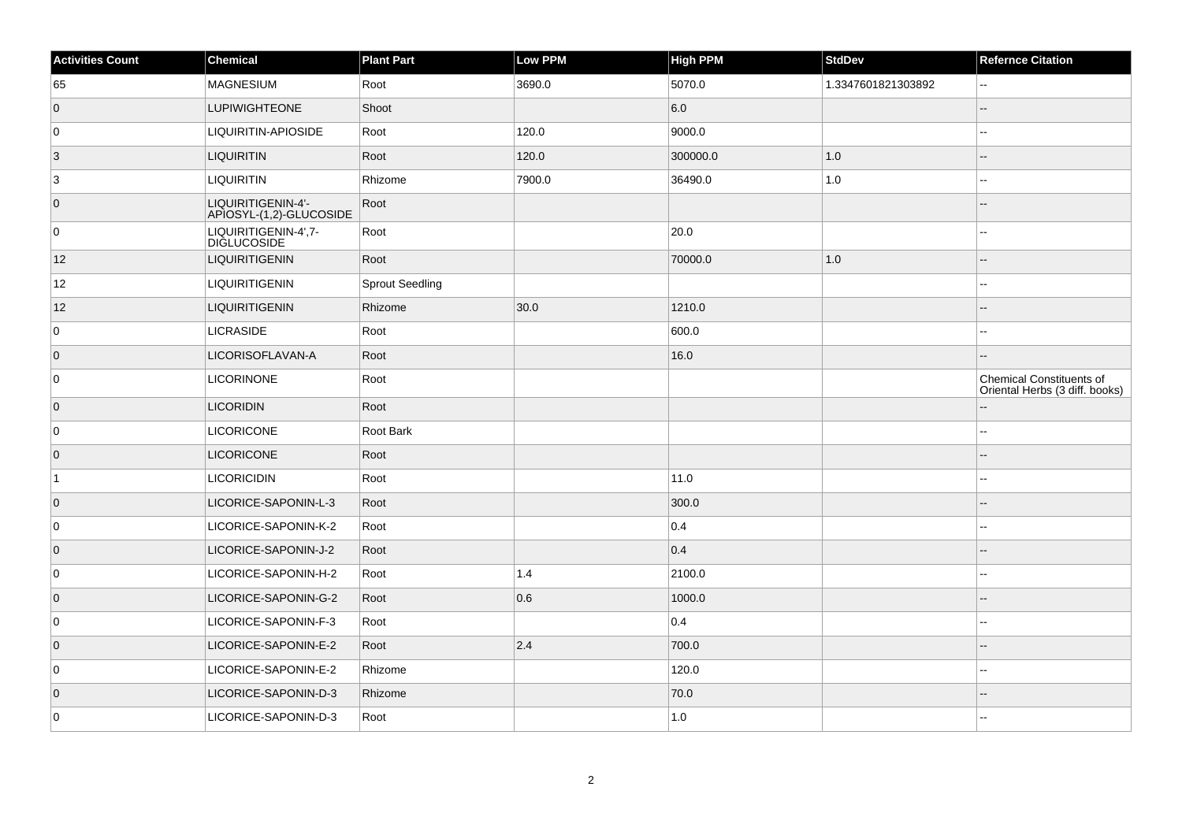| <b>Activities Count</b> | <b>Chemical</b>                               | <b>Plant Part</b>      | Low PPM | <b>High PPM</b> | <b>StdDev</b>      | <b>Refernce Citation</b>                                   |
|-------------------------|-----------------------------------------------|------------------------|---------|-----------------|--------------------|------------------------------------------------------------|
| 65                      | <b>MAGNESIUM</b>                              | Root                   | 3690.0  | 5070.0          | 1.3347601821303892 | 44                                                         |
| $\overline{0}$          | <b>LUPIWIGHTEONE</b>                          | Shoot                  |         | 6.0             |                    |                                                            |
| 0                       | LIQUIRITIN-APIOSIDE                           | Root                   | 120.0   | 9000.0          |                    |                                                            |
| $\overline{3}$          | <b>LIQUIRITIN</b>                             | Root                   | 120.0   | 300000.0        | $1.0$              |                                                            |
| $\overline{3}$          | <b>LIQUIRITIN</b>                             | Rhizome                | 7900.0  | 36490.0         | $1.0\,$            |                                                            |
| $\overline{0}$          | LIQUIRITIGENIN-4'-<br>APIOSYL-(1,2)-GLUCOSIDE | Root                   |         |                 |                    |                                                            |
| 0                       | LIQUIRITIGENIN-4',7-<br>DIGLUCOSIDE           | Root                   |         | 20.0            |                    |                                                            |
| 12                      | <b>LIQUIRITIGENIN</b>                         | Root                   |         | 70000.0         | 1.0                |                                                            |
| 12                      | <b>LIQUIRITIGENIN</b>                         | <b>Sprout Seedling</b> |         |                 |                    |                                                            |
| 12                      | <b>LIQUIRITIGENIN</b>                         | Rhizome                | 30.0    | 1210.0          |                    |                                                            |
| $\overline{0}$          | <b>LICRASIDE</b>                              | Root                   |         | 600.0           |                    |                                                            |
| $\overline{0}$          | LICORISOFLAVAN-A                              | Root                   |         | 16.0            |                    |                                                            |
| 0                       | <b>LICORINONE</b>                             | Root                   |         |                 |                    | Chemical Constituents of<br>Oriental Herbs (3 diff. books) |
| $\overline{0}$          | <b>LICORIDIN</b>                              | Root                   |         |                 |                    |                                                            |
| 0                       | <b>LICORICONE</b>                             | Root Bark              |         |                 |                    |                                                            |
| $\overline{0}$          | <b>LICORICONE</b>                             | Root                   |         |                 |                    |                                                            |
| $\vert$ 1               | <b>LICORICIDIN</b>                            | Root                   |         | 11.0            |                    |                                                            |
| $\overline{0}$          | LICORICE-SAPONIN-L-3                          | Root                   |         | 300.0           |                    |                                                            |
| 0                       | LICORICE-SAPONIN-K-2                          | Root                   |         | 0.4             |                    |                                                            |
| $\overline{0}$          | LICORICE-SAPONIN-J-2                          | Root                   |         | 0.4             |                    |                                                            |
| 0                       | LICORICE-SAPONIN-H-2                          | Root                   | 1.4     | 2100.0          |                    |                                                            |
| $\overline{0}$          | LICORICE-SAPONIN-G-2                          | Root                   | 0.6     | 1000.0          |                    |                                                            |
| 0                       | LICORICE-SAPONIN-F-3                          | Root                   |         | 0.4             |                    |                                                            |
| $\overline{0}$          | LICORICE-SAPONIN-E-2                          | Root                   | 2.4     | 700.0           |                    |                                                            |
| 0                       | LICORICE-SAPONIN-E-2                          | Rhizome                |         | 120.0           |                    |                                                            |
| $\overline{0}$          | LICORICE-SAPONIN-D-3                          | Rhizome                |         | 70.0            |                    |                                                            |
| 0                       | LICORICE-SAPONIN-D-3                          | Root                   |         | 1.0             |                    |                                                            |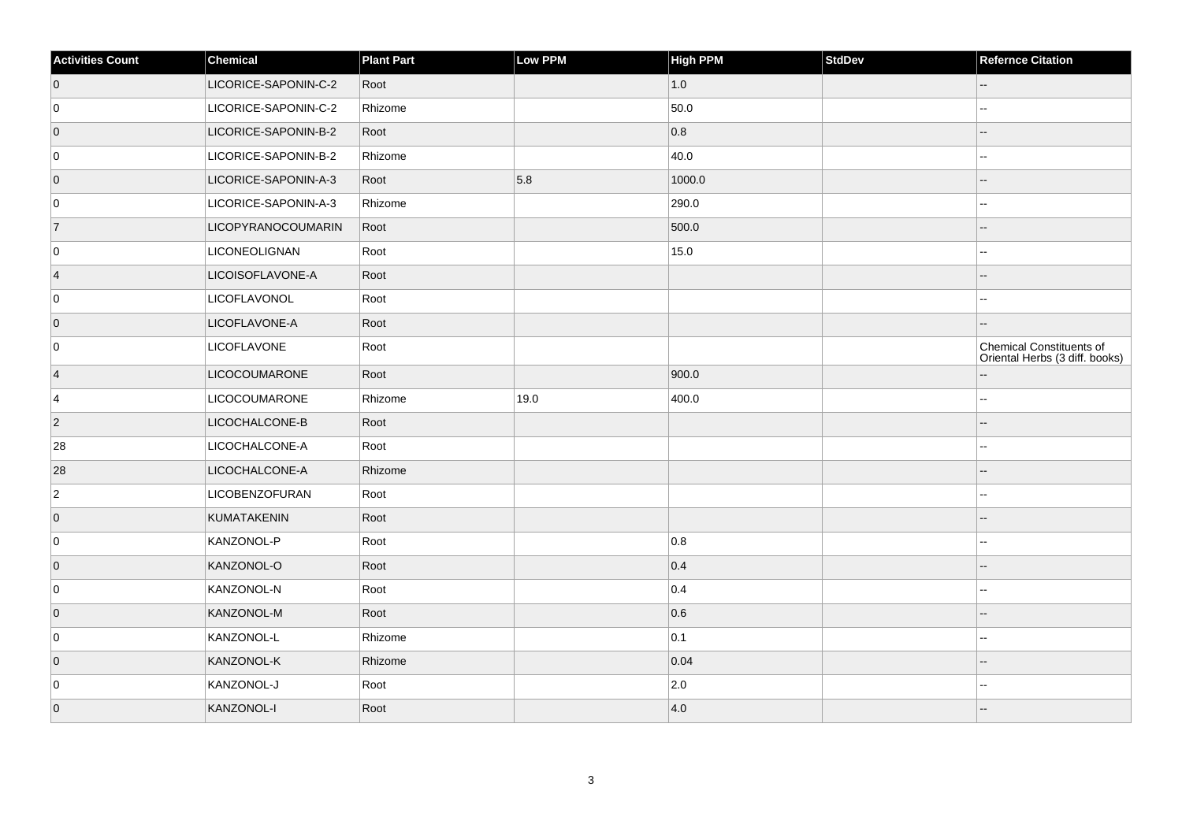| <b>Activities Count</b> | $ $ Chemical         | <b>Plant Part</b> | Low PPM | High PPM      | <b>StdDev</b> | <b>Refernce Citation</b>                                          |
|-------------------------|----------------------|-------------------|---------|---------------|---------------|-------------------------------------------------------------------|
| $\overline{0}$          | LICORICE-SAPONIN-C-2 | Root              |         | 1.0           |               | --                                                                |
| 0                       | LICORICE-SAPONIN-C-2 | Rhizome           |         | 50.0          |               |                                                                   |
| $\overline{0}$          | LICORICE-SAPONIN-B-2 | Root              |         | 0.8           |               |                                                                   |
| 0                       | LICORICE-SAPONIN-B-2 | Rhizome           |         | 40.0          |               |                                                                   |
| $\overline{0}$          | LICORICE-SAPONIN-A-3 | Root              | 5.8     | 1000.0        |               |                                                                   |
| 0                       | LICORICE-SAPONIN-A-3 | Rhizome           |         | 290.0         |               |                                                                   |
| 7                       | LICOPYRANOCOUMARIN   | Root              |         | 500.0         |               |                                                                   |
| 0                       | <b>LICONEOLIGNAN</b> | Root              |         | 15.0          |               |                                                                   |
| $\vert$ 4               | LICOISOFLAVONE-A     | Root              |         |               |               |                                                                   |
| 0                       | LICOFLAVONOL         | Root              |         |               |               |                                                                   |
| $\overline{0}$          | LICOFLAVONE-A        | Root              |         |               |               |                                                                   |
| 0                       | <b>LICOFLAVONE</b>   | Root              |         |               |               | <b>Chemical Constituents of</b><br>Oriental Herbs (3 diff. books) |
| 4                       | <b>LICOCOUMARONE</b> | Root              |         | 900.0         |               |                                                                   |
| $\overline{4}$          | LICOCOUMARONE        | Rhizome           | 19.0    | 400.0         |               |                                                                   |
| $\overline{2}$          | LICOCHALCONE-B       | Root              |         |               |               |                                                                   |
| 28                      | LICOCHALCONE-A       | Root              |         |               |               |                                                                   |
| 28                      | LICOCHALCONE-A       | Rhizome           |         |               |               |                                                                   |
| $\overline{2}$          | LICOBENZOFURAN       | Root              |         |               |               | --                                                                |
| $\overline{0}$          | KUMATAKENIN          | Root              |         |               |               |                                                                   |
| 0                       | KANZONOL-P           | Root              |         | 0.8           |               |                                                                   |
| $\overline{0}$          | KANZONOL-O           | Root              |         | 0.4           |               |                                                                   |
| 0                       | KANZONOL-N           | Root              |         | 0.4           |               |                                                                   |
| $\overline{0}$          | KANZONOL-M           | Root              |         | 0.6           |               |                                                                   |
| 0                       | KANZONOL-L           | Rhizome           |         | 0.1           |               |                                                                   |
| $\overline{0}$          | KANZONOL-K           | Rhizome           |         | 0.04          |               |                                                                   |
| 0                       | KANZONOL-J           | Root              |         | $ 2.0\rangle$ |               | --                                                                |
| $\overline{0}$          | KANZONOL-I           | Root              |         | 4.0           |               |                                                                   |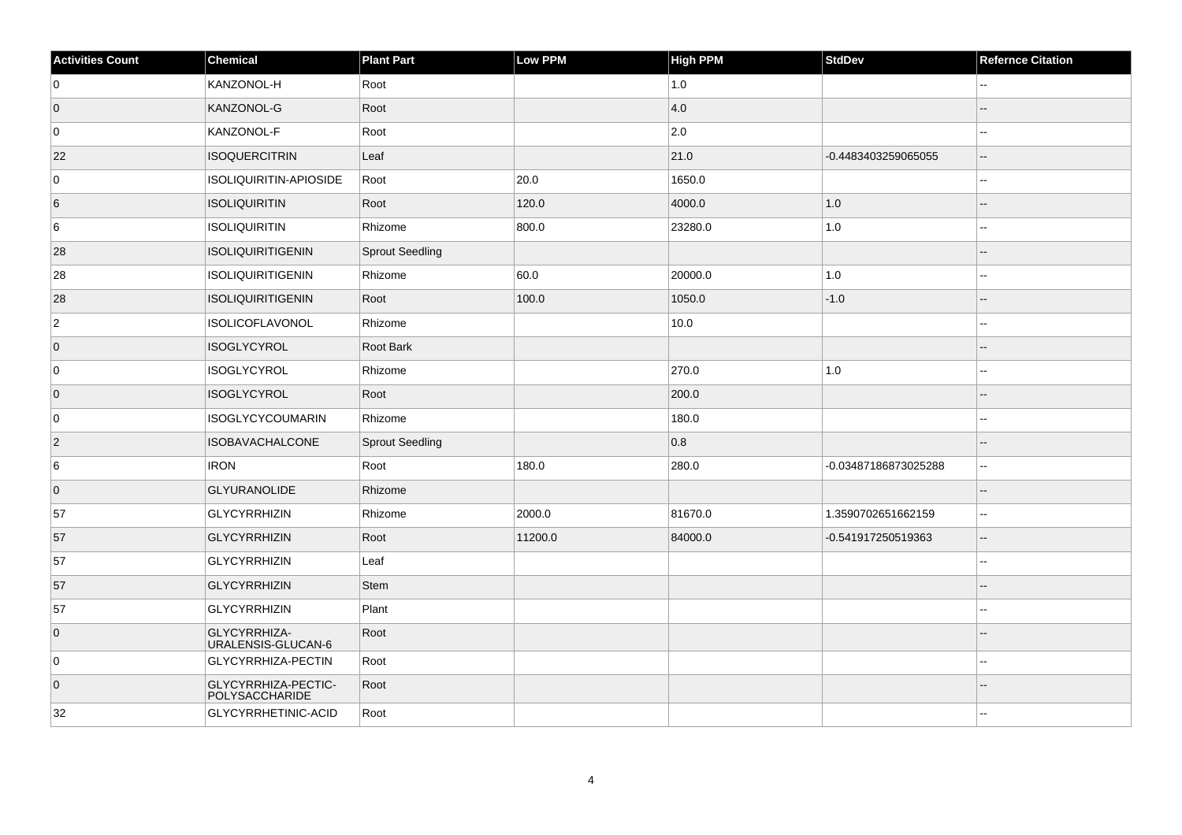| <b>Activities Count</b> | Chemical                                  | <b>Plant Part</b>      | Low PPM | <b>High PPM</b> | StdDev               | <b>Refernce Citation</b> |
|-------------------------|-------------------------------------------|------------------------|---------|-----------------|----------------------|--------------------------|
| 0                       | KANZONOL-H                                | Root                   |         | 1.0             |                      |                          |
| $\overline{0}$          | KANZONOL-G                                | Root                   |         | 4.0             |                      |                          |
| 0                       | KANZONOL-F                                | Root                   |         | $ 2.0\rangle$   |                      |                          |
| 22                      | <b>ISOQUERCITRIN</b>                      | Leaf                   |         | 21.0            | -0.4483403259065055  | --                       |
| 0                       | ISOLIQUIRITIN-APIOSIDE                    | Root                   | 20.0    | 1650.0          |                      | --                       |
| 6                       | <b>ISOLIQUIRITIN</b>                      | Root                   | 120.0   | 4000.0          | 1.0                  |                          |
| 6                       | <b>ISOLIQUIRITIN</b>                      | Rhizome                | 800.0   | 23280.0         | 1.0                  | ۵.                       |
| 28                      | ISOLIQUIRITIGENIN                         | <b>Sprout Seedling</b> |         |                 |                      | $-$                      |
| 28                      | <b>ISOLIQUIRITIGENIN</b>                  | Rhizome                | 60.0    | 20000.0         | 1.0                  |                          |
| 28                      | <b>ISOLIQUIRITIGENIN</b>                  | Root                   | 100.0   | 1050.0          | $-1.0$               | $-$                      |
| $\vert$ 2               | <b>ISOLICOFLAVONOL</b>                    | Rhizome                |         | 10.0            |                      | ۵۵                       |
| $\overline{0}$          | ISOGLYCYROL                               | <b>Root Bark</b>       |         |                 |                      |                          |
| 0                       | <b>ISOGLYCYROL</b>                        | Rhizome                |         | 270.0           | $1.0\,$              | Ξ.                       |
| $\overline{0}$          | <b>ISOGLYCYROL</b>                        | Root                   |         | 200.0           |                      | $-$                      |
| 0                       | <b>ISOGLYCYCOUMARIN</b>                   | Rhizome                |         | 180.0           |                      |                          |
| $\vert$ 2               | <b>ISOBAVACHALCONE</b>                    | <b>Sprout Seedling</b> |         | 0.8             |                      |                          |
| 6                       | <b>IRON</b>                               | Root                   | 180.0   | 280.0           | -0.03487186873025288 | $\overline{\phantom{a}}$ |
| $\overline{0}$          | <b>GLYURANOLIDE</b>                       | Rhizome                |         |                 |                      |                          |
| 57                      | <b>GLYCYRRHIZIN</b>                       | Rhizome                | 2000.0  | 81670.0         | 1.3590702651662159   | Ξ.                       |
| 57                      | <b>GLYCYRRHIZIN</b>                       | Root                   | 11200.0 | 84000.0         | -0.541917250519363   | $\overline{\phantom{a}}$ |
| 57                      | <b>GLYCYRRHIZIN</b>                       | Leaf                   |         |                 |                      | ۵.                       |
| 57                      | <b>GLYCYRRHIZIN</b>                       | Stem                   |         |                 |                      |                          |
| 57                      | GLYCYRRHIZIN                              | Plant                  |         |                 |                      |                          |
| $\overline{0}$          | GLYCYRRHIZA-<br><b>URALENSIS-GLUCAN-6</b> | Root                   |         |                 |                      |                          |
| 0                       | GLYCYRRHIZA-PECTIN                        | Root                   |         |                 |                      |                          |
| $\overline{0}$          | GLYCYRRHIZA-PECTIC-<br>POLYSACCHARIDE     | Root                   |         |                 |                      |                          |
| 32                      | GLYCYRRHETINIC-ACID                       | Root                   |         |                 |                      |                          |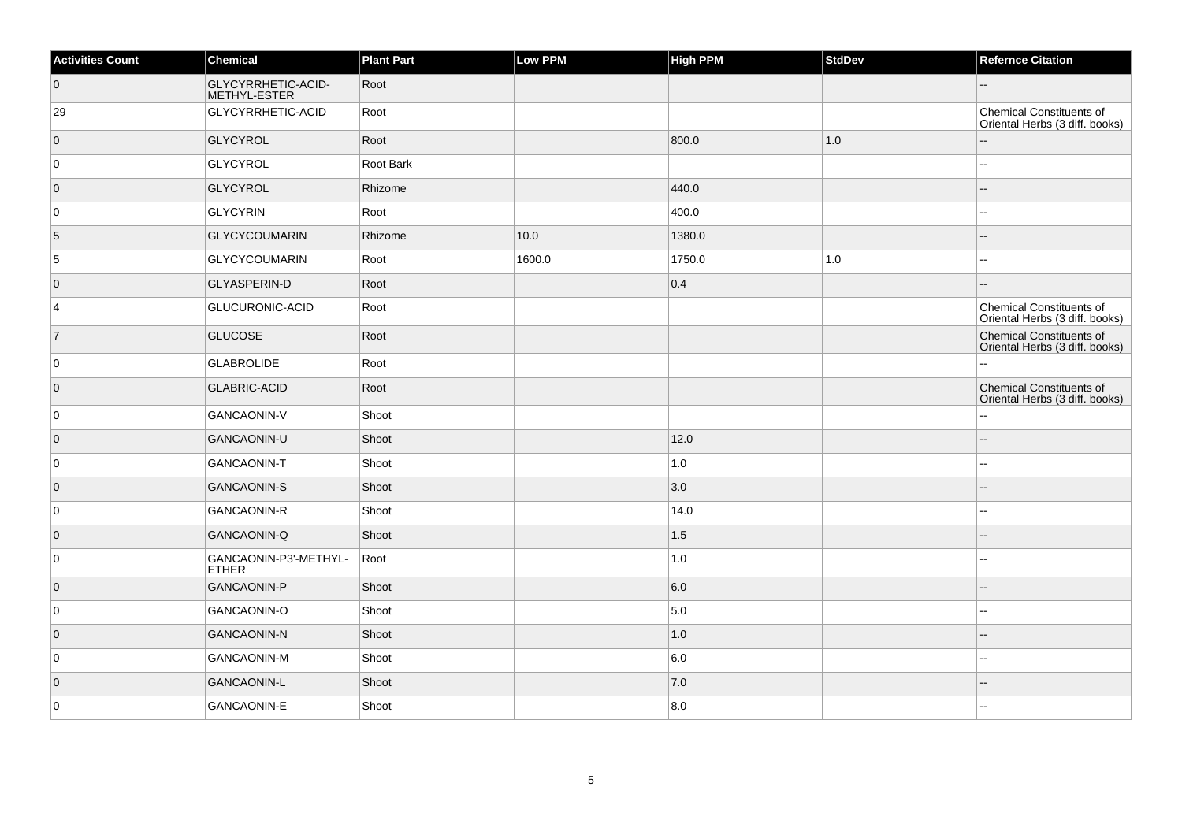| <b>Activities Count</b> | Chemical                           | <b>Plant Part</b> | Low PPM | <b>High PPM</b> | <b>StdDev</b> | <b>Refernce Citation</b>                                          |
|-------------------------|------------------------------------|-------------------|---------|-----------------|---------------|-------------------------------------------------------------------|
| $\overline{0}$          | GLYCYRRHETIC-ACID-<br>METHYL-ESTER | Root              |         |                 |               |                                                                   |
| 29                      | GLYCYRRHETIC-ACID                  | Root              |         |                 |               | <b>Chemical Constituents of</b><br>Oriental Herbs (3 diff. books) |
| $\overline{0}$          | <b>GLYCYROL</b>                    | Root              |         | 800.0           | 1.0           |                                                                   |
| 0                       | GLYCYROL                           | Root Bark         |         |                 |               |                                                                   |
| $\overline{0}$          | <b>GLYCYROL</b>                    | Rhizome           |         | 440.0           |               |                                                                   |
| 0                       | <b>GLYCYRIN</b>                    | Root              |         | 400.0           |               |                                                                   |
| 5                       | <b>GLYCYCOUMARIN</b>               | Rhizome           | 10.0    | 1380.0          |               |                                                                   |
| $\overline{5}$          | <b>GLYCYCOUMARIN</b>               | Root              | 1600.0  | 1750.0          | 1.0           |                                                                   |
| $\overline{0}$          | <b>GLYASPERIN-D</b>                | Root              |         | 0.4             |               |                                                                   |
| 4                       | GLUCURONIC-ACID                    | Root              |         |                 |               | Chemical Constituents of<br>Oriental Herbs (3 diff. books)        |
| $\overline{7}$          | <b>GLUCOSE</b>                     | Root              |         |                 |               | <b>Chemical Constituents of</b><br>Oriental Herbs (3 diff. books) |
| 0                       | <b>GLABROLIDE</b>                  | Root              |         |                 |               |                                                                   |
| $\overline{0}$          | <b>GLABRIC-ACID</b>                | Root              |         |                 |               | <b>Chemical Constituents of</b><br>Oriental Herbs (3 diff. books) |
| 0                       | <b>GANCAONIN-V</b>                 | Shoot             |         |                 |               |                                                                   |
| $\overline{0}$          | GANCAONIN-U                        | Shoot             |         | 12.0            |               |                                                                   |
| 0                       | <b>GANCAONIN-T</b>                 | Shoot             |         | 1.0             |               |                                                                   |
| $\overline{0}$          | <b>GANCAONIN-S</b>                 | Shoot             |         | 3.0             |               |                                                                   |
| 0                       | <b>GANCAONIN-R</b>                 | Shoot             |         | 14.0            |               |                                                                   |
| $\overline{0}$          | GANCAONIN-Q                        | Shoot             |         | 1.5             |               |                                                                   |
| 0                       | GANCAONIN-P3'-METHYL-<br>ETHER     | Root              |         | 1.0             |               |                                                                   |
| $\overline{0}$          | <b>GANCAONIN-P</b>                 | Shoot             |         | 6.0             |               |                                                                   |
| 0                       | GANCAONIN-O                        | Shoot             |         | 5.0             |               | --                                                                |
| $\overline{0}$          | <b>GANCAONIN-N</b>                 | Shoot             |         | 1.0             |               |                                                                   |
| 0                       | <b>GANCAONIN-M</b>                 | Shoot             |         | 6.0             |               |                                                                   |
| $\overline{0}$          | <b>GANCAONIN-L</b>                 | Shoot             |         | 7.0             |               |                                                                   |
| 0                       | GANCAONIN-E                        | Shoot             |         | 8.0             |               |                                                                   |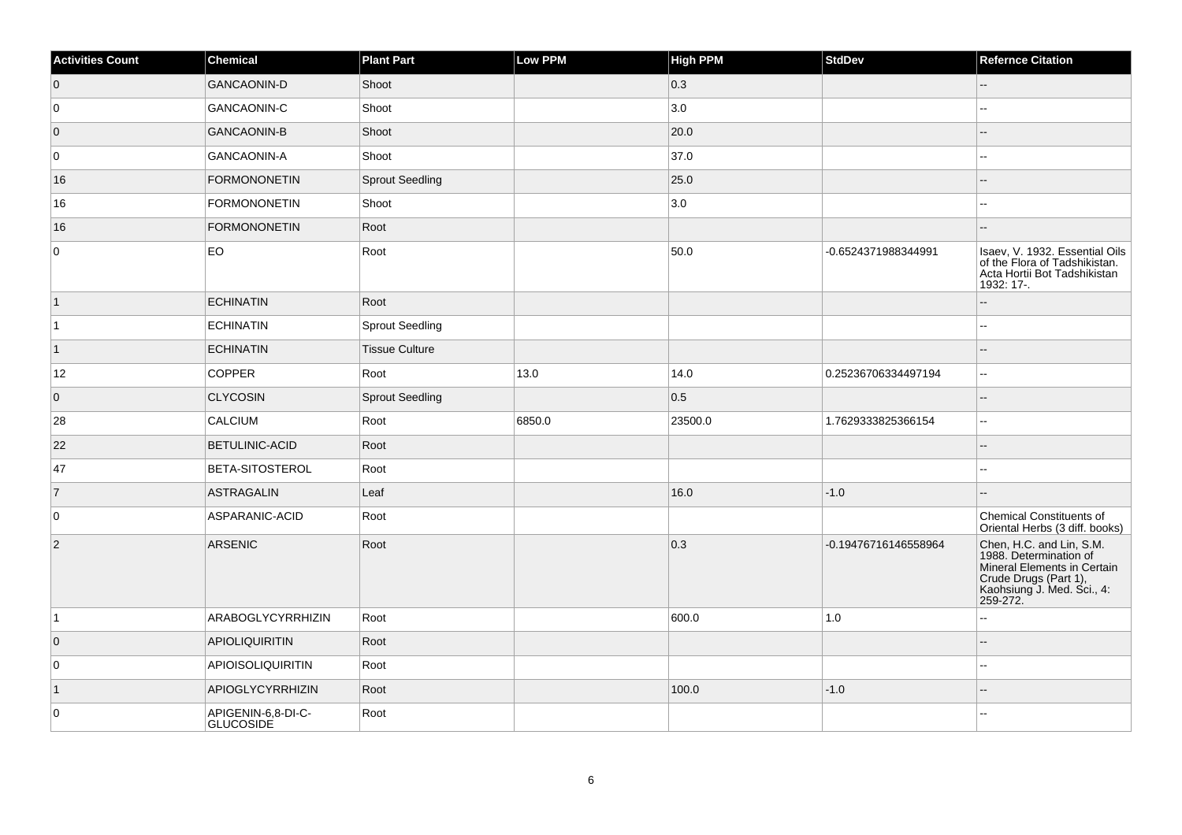| <b>Activities Count</b> | Chemical                        | <b>Plant Part</b>      | Low PPM | <b>High PPM</b> | <b>StdDev</b>        | <b>Refernce Citation</b>                                                                                                                             |
|-------------------------|---------------------------------|------------------------|---------|-----------------|----------------------|------------------------------------------------------------------------------------------------------------------------------------------------------|
| $\overline{0}$          | <b>GANCAONIN-D</b>              | Shoot                  |         | 0.3             |                      | --                                                                                                                                                   |
| 0                       | <b>GANCAONIN-C</b>              | Shoot                  |         | 3.0             |                      | Ξ.                                                                                                                                                   |
| $\overline{0}$          | <b>GANCAONIN-B</b>              | Shoot                  |         | 20.0            |                      | $-$                                                                                                                                                  |
| 0                       | GANCAONIN-A                     | Shoot                  |         | 37.0            |                      | --                                                                                                                                                   |
| 16                      | FORMONONETIN                    | <b>Sprout Seedling</b> |         | 25.0            |                      |                                                                                                                                                      |
| 16                      | <b>FORMONONETIN</b>             | Shoot                  |         | 3.0             |                      | $\overline{a}$                                                                                                                                       |
| 16                      | <b>FORMONONETIN</b>             | Root                   |         |                 |                      |                                                                                                                                                      |
| $\mathbf 0$             | EO                              | Root                   |         | 50.0            | -0.6524371988344991  | Isaev, V. 1932. Essential Oils<br>of the Flora of Tadshikistan.<br>Acta Hortii Bot Tadshikistan<br>1932: 17-.                                        |
| $\vert$ 1               | <b>ECHINATIN</b>                | Root                   |         |                 |                      |                                                                                                                                                      |
| $\vert$ 1               | <b>ECHINATIN</b>                | <b>Sprout Seedling</b> |         |                 |                      | --                                                                                                                                                   |
| $\vert$ 1               | <b>ECHINATIN</b>                | <b>Tissue Culture</b>  |         |                 |                      |                                                                                                                                                      |
| 12                      | <b>COPPER</b>                   | Root                   | 13.0    | 14.0            | 0.25236706334497194  | $\overline{\phantom{a}}$                                                                                                                             |
| $\overline{0}$          | <b>CLYCOSIN</b>                 | <b>Sprout Seedling</b> |         | 0.5             |                      | $-$                                                                                                                                                  |
| 28                      | CALCIUM                         | Root                   | 6850.0  | 23500.0         | 1.7629333825366154   | L.                                                                                                                                                   |
| 22                      | <b>BETULINIC-ACID</b>           | Root                   |         |                 |                      |                                                                                                                                                      |
| 47                      | <b>BETA-SITOSTEROL</b>          | Root                   |         |                 |                      |                                                                                                                                                      |
| 7                       | <b>ASTRAGALIN</b>               | Leaf                   |         | 16.0            | $-1.0$               |                                                                                                                                                      |
| $\mathbf 0$             | ASPARANIC-ACID                  | Root                   |         |                 |                      | Chemical Constituents of<br>Oriental Herbs (3 diff. books)                                                                                           |
| $\vert$ 2               | ARSENIC                         | Root                   |         | 0.3             | -0.19476716146558964 | Chen, H.C. and Lin, S.M.<br>1988. Determination of<br>Mineral Elements in Certain<br>Crude Drugs (Part 1),<br>Kaohsiung J. Med. Sci., 4:<br>259-272. |
| $\vert$ 1               | ARABOGLYCYRRHIZIN               | Root                   |         | 600.0           | 1.0                  | ۵۵                                                                                                                                                   |
| $\overline{0}$          | <b>APIOLIQUIRITIN</b>           | Root                   |         |                 |                      |                                                                                                                                                      |
| 0                       | <b>APIOISOLIQUIRITIN</b>        | Root                   |         |                 |                      |                                                                                                                                                      |
| $\vert$ 1               | APIOGLYCYRRHIZIN                | Root                   |         | 100.0           | $-1.0$               | --                                                                                                                                                   |
| $\pmb{0}$               | APIGENIN-6,8-DI-C-<br>GLUCOSIDE | Root                   |         |                 |                      |                                                                                                                                                      |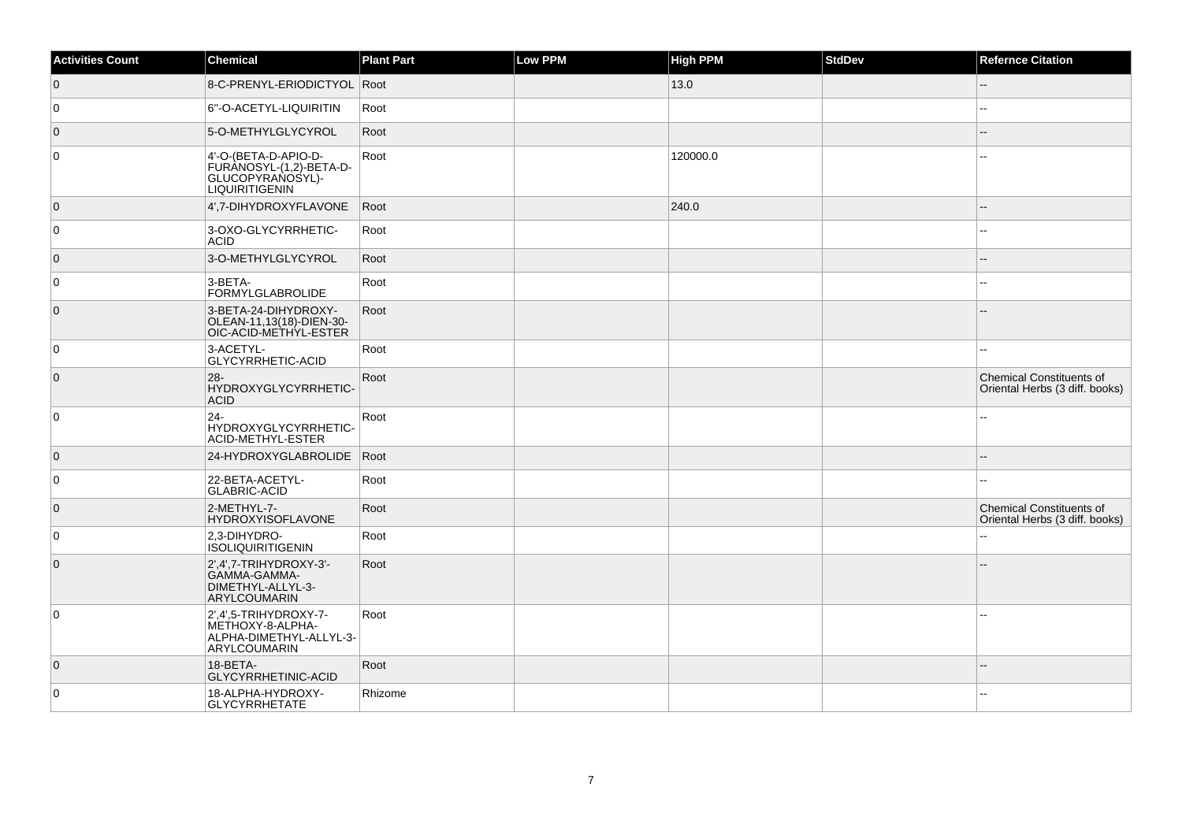| <b>Activities Count</b> | <b>Chemical</b>                                                                              | <b>Plant Part</b> | Low PPM | <b>High PPM</b> | <b>StdDev</b> | <b>Refernce Citation</b>                                          |
|-------------------------|----------------------------------------------------------------------------------------------|-------------------|---------|-----------------|---------------|-------------------------------------------------------------------|
| $\overline{0}$          | 8-C-PRENYL-ERIODICTYOL Root                                                                  |                   |         | 13.0            |               | ш,                                                                |
| $\overline{0}$          | 6"-O-ACETYL-LIQUIRITIN                                                                       | Root              |         |                 |               |                                                                   |
| $\overline{0}$          | 5-O-METHYLGLYCYROL                                                                           | Root              |         |                 |               |                                                                   |
| 0                       | 4'-O-(BETA-D-APIO-D-<br>FURANOSYL-(1,2)-BETA-D-<br>GLUCOPYRANOSYL)-<br><b>LIQUIRITIGENIN</b> | Root              |         | 120000.0        |               |                                                                   |
| $\overline{0}$          | 4',7-DIHYDROXYFLAVONE                                                                        | Root              |         | 240.0           |               |                                                                   |
| 0                       | 3-OXO-GLYCYRRHETIC-<br><b>ACID</b>                                                           | Root              |         |                 |               |                                                                   |
| $\overline{0}$          | 3-O-METHYLGLYCYROL                                                                           | Root              |         |                 |               |                                                                   |
| $\overline{0}$          | 3-BETA-<br><b>FORMYLGLABROLIDE</b>                                                           | Root              |         |                 |               |                                                                   |
| $\overline{0}$          | 3-BETA-24-DIHYDROXY-<br>OLEAN-11,13(18)-DIEN-30-<br>OIC-ACID-METHYL-ESTER                    | Root              |         |                 |               |                                                                   |
| $\overline{0}$          | 3-ACETYL-<br>GLYCYRRHETIC-ACID                                                               | Root              |         |                 |               |                                                                   |
| $\overline{0}$          | $28 -$<br>HYDROXYGLYCYRRHETIC-<br><b>ACID</b>                                                | Root              |         |                 |               | <b>Chemical Constituents of</b><br>Oriental Herbs (3 diff. books) |
| 0                       | $24 -$<br>HYDROXYGLYCYRRHETIC-<br>ACID-METHYL-ESTER                                          | Root              |         |                 |               |                                                                   |
| $\overline{0}$          | 24-HYDROXYGLABROLIDE                                                                         | Root              |         |                 |               |                                                                   |
| 0                       | 22-BETA-ACETYL-<br><b>GLABRIC-ACID</b>                                                       | Root              |         |                 |               | $\overline{a}$                                                    |
| $\overline{0}$          | 2-METHYL-7-<br>HYDROXYISOFLAVONE                                                             | Root              |         |                 |               | <b>Chemical Constituents of</b><br>Oriental Herbs (3 diff. books) |
| 0                       | 2,3-DIHYDRO-<br><b>ISOLIQUIRITIGENIN</b>                                                     | Root              |         |                 |               |                                                                   |
| $\overline{0}$          | $2',4',7$ -TRIHYDROXY-3'-<br>GAMMA-GAMMA-<br>DIMETHYL-ALLYL-3-<br>ARYLCOUMARIN               | Root              |         |                 |               |                                                                   |
| $\overline{0}$          | 2',4',5-TRIHYDROXY-7-<br>METHOXY-8-ALPHA-<br>ALPHA-DIMETHYL-ALLYL-3-<br>ARYLCOUMARIN         | Root              |         |                 |               | --                                                                |
| $\overline{0}$          | 18-BETA-<br>GLYCYRRHETINIC-ACID                                                              | Root              |         |                 |               |                                                                   |
| 0                       | 18-ALPHA-HYDROXY-<br>GLYCYRRHETATE                                                           | Rhizome           |         |                 |               |                                                                   |